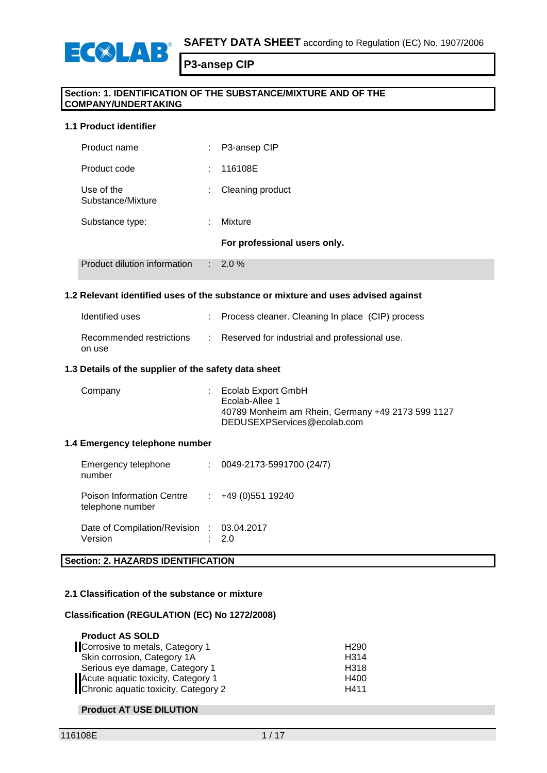

### **Section: 1. IDENTIFICATION OF THE SUBSTANCE/MIXTURE AND OF THE COMPANY/UNDERTAKING**

### **1.1 Product identifier**

ECSLAB

| Product dilution information    | ÷. | 2.0%                         |
|---------------------------------|----|------------------------------|
|                                 |    | For professional users only. |
| Substance type:                 |    | Mixture                      |
| Use of the<br>Substance/Mixture |    | Cleaning product             |
| Product code                    |    | 116108E                      |
| Product name                    |    | P3-ansep CIP                 |

### **1.2 Relevant identified uses of the substance or mixture and uses advised against**

| Identified uses                    | : Process cleaner. Cleaning In place (CIP) process |
|------------------------------------|----------------------------------------------------|
| Recommended restrictions<br>on use | Reserved for industrial and professional use.      |

### **1.3 Details of the supplier of the safety data sheet**

| Company | $\therefore$ Ecolab Export GmbH<br>Ecolab-Allee 1<br>40789 Monheim am Rhein, Germany +49 2173 599 1127<br>DEDUSEXPServices@ecolab.com |
|---------|---------------------------------------------------------------------------------------------------------------------------------------|
|         |                                                                                                                                       |

#### **1.4 Emergency telephone number**

| Emergency telephone<br>number                        | 0049-2173-5991700 (24/7) |
|------------------------------------------------------|--------------------------|
| Poison Information Centre<br>telephone number        | $\div$ +49 (0) 551 19240 |
| Date of Compilation/Revision : 03.04.2017<br>Version | 2 O                      |

## **Section: 2. HAZARDS IDENTIFICATION**

### **2.1 Classification of the substance or mixture**

### **Classification (REGULATION (EC) No 1272/2008)**

| <b>Product AS SOLD</b>               |                   |
|--------------------------------------|-------------------|
| Corrosive to metals, Category 1      | H <sub>290</sub>  |
| Skin corrosion, Category 1A          | H <sub>3</sub> 14 |
| Serious eye damage, Category 1       | H <sub>3</sub> 18 |
| Acute aquatic toxicity, Category 1   | H400              |
| Chronic aquatic toxicity, Category 2 | H411              |

### **Product AT USE DILUTION**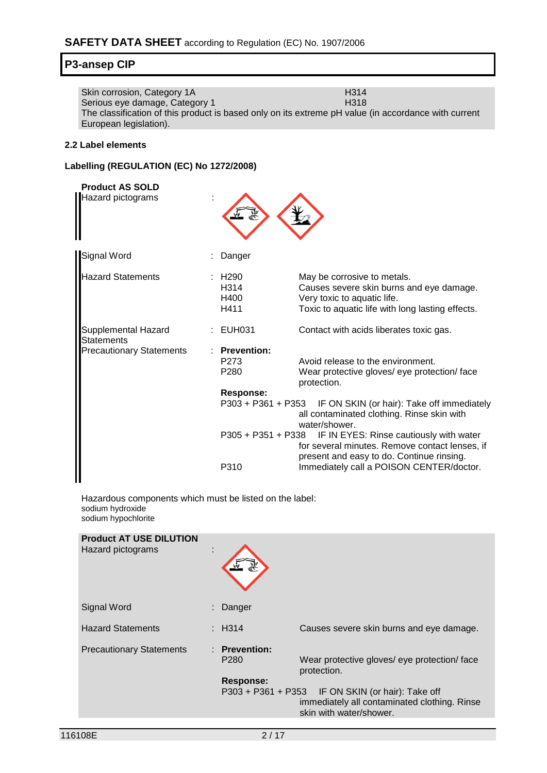| Skin corrosion, Category 1A                                                                          | H <sub>3</sub> 14 |
|------------------------------------------------------------------------------------------------------|-------------------|
| Serious eye damage, Category 1                                                                       | H318              |
| The classification of this product is based only on its extreme pH value (in accordance with current |                   |
| European legislation).                                                                               |                   |

### **2.2 Label elements**

## **Labelling (REGULATION (EC) No 1272/2008)**

| <b>Product AS SOLD</b><br>Hazard pictograms |                                                            |                                                                                                                                                            |
|---------------------------------------------|------------------------------------------------------------|------------------------------------------------------------------------------------------------------------------------------------------------------------|
| Signal Word                                 | Danger                                                     |                                                                                                                                                            |
| <b>Hazard Statements</b>                    | H290<br>H314<br>H400<br>H411                               | May be corrosive to metals.<br>Causes severe skin burns and eye damage.<br>Very toxic to aquatic life.<br>Toxic to aquatic life with long lasting effects. |
| Supplemental Hazard<br><b>Statements</b>    | : EUH031                                                   | Contact with acids liberates toxic gas.                                                                                                                    |
| <b>Precautionary Statements</b>             | <b>Prevention:</b><br>P <sub>273</sub><br>P <sub>280</sub> | Avoid release to the environment.<br>Wear protective gloves/ eye protection/ face<br>protection.                                                           |
|                                             | <b>Response:</b><br>P303 + P361 + P353                     | IF ON SKIN (or hair): Take off immediately<br>all contaminated clothing. Rinse skin with<br>water/shower.                                                  |
|                                             | P305 + P351 + P338                                         | IF IN EYES: Rinse cautiously with water<br>for several minutes. Remove contact lenses, if<br>present and easy to do. Continue rinsing.                     |
|                                             | P310                                                       | Immediately call a POISON CENTER/doctor.                                                                                                                   |

Hazardous components which must be listed on the label: sodium hydroxide sodium hypochlorite

| <b>Product AT USE DILUTION</b><br>Hazard pictograms | t |                                                                        |                                                                                               |
|-----------------------------------------------------|---|------------------------------------------------------------------------|-----------------------------------------------------------------------------------------------|
| Signal Word                                         |   | Danger                                                                 |                                                                                               |
| <b>Hazard Statements</b>                            |   | $\pm$ H314                                                             | Causes severe skin burns and eye damage.                                                      |
| <b>Precautionary Statements</b>                     |   | : Prevention:<br>P <sub>280</sub><br>Response:<br>$P303 + P361 + P353$ | Wear protective gloves/ eye protection/ face<br>protection.<br>IF ON SKIN (or hair): Take off |
|                                                     |   |                                                                        | immediately all contaminated clothing. Rinse<br>skin with water/shower.                       |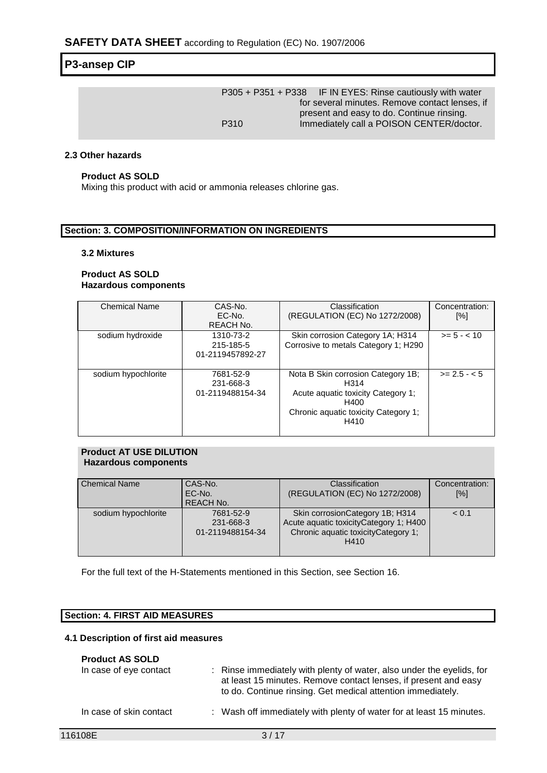|      | P305 + P351 + P338 IF IN EYES: Rinse cautiously with water |
|------|------------------------------------------------------------|
|      | for several minutes. Remove contact lenses, if             |
|      | present and easy to do. Continue rinsing.                  |
| P310 | Immediately call a POISON CENTER/doctor.                   |

### **2.3 Other hazards**

### **Product AS SOLD**

Mixing this product with acid or ammonia releases chlorine gas.

### **Section: 3. COMPOSITION/INFORMATION ON INGREDIENTS**

#### **3.2 Mixtures**

### **Product AS SOLD Hazardous components**

| <b>Chemical Name</b> | CAS-No.<br>EC-No. | Classification<br>(REGULATION (EC) No 1272/2008) | Concentration:<br>[%] |
|----------------------|-------------------|--------------------------------------------------|-----------------------|
|                      | REACH No.         |                                                  |                       |
| sodium hydroxide     | 1310-73-2         | Skin corrosion Category 1A; H314                 | $>= 5 - < 10$         |
|                      | 215-185-5         | Corrosive to metals Category 1; H290             |                       |
|                      | 01-2119457892-27  |                                                  |                       |
|                      |                   |                                                  |                       |
| sodium hypochlorite  | 7681-52-9         | Nota B Skin corrosion Category 1B;               | $>= 2.5 - 5.5$        |
|                      | 231-668-3         | H314                                             |                       |
|                      | 01-2119488154-34  | Acute aguatic toxicity Category 1;               |                       |
|                      |                   | H400                                             |                       |
|                      |                   | Chronic aquatic toxicity Category 1;<br>H410     |                       |
|                      |                   |                                                  |                       |

#### **Product AT USE DILUTION Hazardous components**

| <b>Chemical Name</b> | CAS-No.<br>EC-No.<br><b>REACH No.</b>      | Classification<br>(REGULATION (EC) No 1272/2008)                                                                          | Concentration:<br>[%] |
|----------------------|--------------------------------------------|---------------------------------------------------------------------------------------------------------------------------|-----------------------|
| sodium hypochlorite  | 7681-52-9<br>231-668-3<br>01-2119488154-34 | Skin corrosion Category 1B; H314<br>Acute aquatic toxicityCategory 1; H400<br>Chronic aquatic toxicityCategory 1;<br>H410 | < 0.1                 |

For the full text of the H-Statements mentioned in this Section, see Section 16.

### **Section: 4. FIRST AID MEASURES**

### **4.1 Description of first aid measures**

### **Product AS SOLD**

| In case of eye contact  | : Rinse immediately with plenty of water, also under the eyelids, for<br>at least 15 minutes. Remove contact lenses, if present and easy<br>to do. Continue rinsing. Get medical attention immediately. |
|-------------------------|---------------------------------------------------------------------------------------------------------------------------------------------------------------------------------------------------------|
| In case of skin contact | : Wash off immediately with plenty of water for at least 15 minutes.                                                                                                                                    |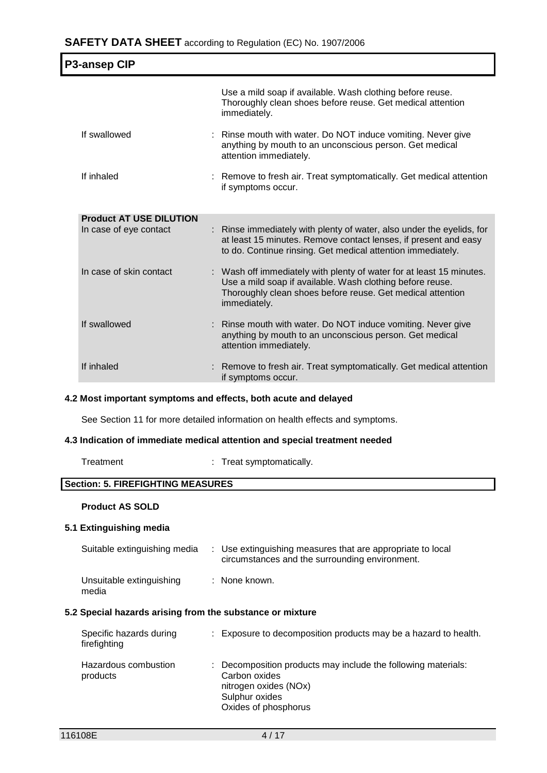| <b>P3-ansep CIP</b>            |                                                                                                                                                                                                                 |
|--------------------------------|-----------------------------------------------------------------------------------------------------------------------------------------------------------------------------------------------------------------|
|                                | Use a mild soap if available. Wash clothing before reuse.<br>Thoroughly clean shoes before reuse. Get medical attention<br>immediately.                                                                         |
| If swallowed                   | : Rinse mouth with water. Do NOT induce vomiting. Never give<br>anything by mouth to an unconscious person. Get medical<br>attention immediately.                                                               |
| If inhaled                     | : Remove to fresh air. Treat symptomatically. Get medical attention<br>if symptoms occur.                                                                                                                       |
| <b>Product AT USE DILUTION</b> |                                                                                                                                                                                                                 |
| In case of eye contact         | : Rinse immediately with plenty of water, also under the eyelids, for<br>at least 15 minutes. Remove contact lenses, if present and easy<br>to do. Continue rinsing. Get medical attention immediately.         |
| In case of skin contact        | : Wash off immediately with plenty of water for at least 15 minutes.<br>Use a mild soap if available. Wash clothing before reuse.<br>Thoroughly clean shoes before reuse. Get medical attention<br>immediately. |
| If swallowed                   | Rinse mouth with water. Do NOT induce vomiting. Never give<br>anything by mouth to an unconscious person. Get medical<br>attention immediately.                                                                 |
| If inhaled                     | Remove to fresh air. Treat symptomatically. Get medical attention<br>if symptoms occur.                                                                                                                         |

### **4.2 Most important symptoms and effects, both acute and delayed**

See Section 11 for more detailed information on health effects and symptoms.

### **4.3 Indication of immediate medical attention and special treatment needed**

| Treatment |  |
|-----------|--|
|           |  |

: Treat symptomatically.

## **Section: 5. FIREFIGHTING MEASURES**

### **Product AS SOLD**

### **5.1 Extinguishing media**

|                                                           | Suitable extinguishing media |  | : Use extinguishing measures that are appropriate to local<br>circumstances and the surrounding environment. |
|-----------------------------------------------------------|------------------------------|--|--------------------------------------------------------------------------------------------------------------|
| media                                                     | Unsuitable extinguishing     |  | : None known.                                                                                                |
| 5.2 Special hazards arising from the substance or mixture |                              |  |                                                                                                              |

| Specific hazards during<br>firefighting | : Exposure to decomposition products may be a hazard to health.                                                                                   |
|-----------------------------------------|---------------------------------------------------------------------------------------------------------------------------------------------------|
| Hazardous combustion<br>products        | : Decomposition products may include the following materials:<br>Carbon oxides<br>nitrogen oxides (NOx)<br>Sulphur oxides<br>Oxides of phosphorus |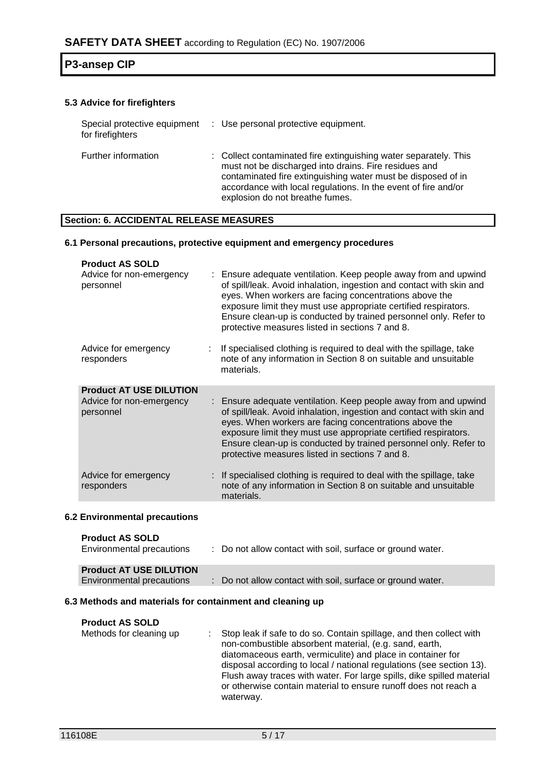### **5.3 Advice for firefighters**

| Special protective equipment<br>for firefighters | : Use personal protective equipment.                                                                                                                                                                                                                                                           |
|--------------------------------------------------|------------------------------------------------------------------------------------------------------------------------------------------------------------------------------------------------------------------------------------------------------------------------------------------------|
| Further information                              | : Collect contaminated fire extinguishing water separately. This<br>must not be discharged into drains. Fire residues and<br>contaminated fire extinguishing water must be disposed of in<br>accordance with local regulations. In the event of fire and/or<br>explosion do not breathe fumes. |

### **Section: 6. ACCIDENTAL RELEASE MEASURES**

### **6.1 Personal precautions, protective equipment and emergency procedures**

| <b>Product AS SOLD</b><br>Advice for non-emergency<br>personnel | : Ensure adequate ventilation. Keep people away from and upwind<br>of spill/leak. Avoid inhalation, ingestion and contact with skin and<br>eyes. When workers are facing concentrations above the<br>exposure limit they must use appropriate certified respirators.<br>Ensure clean-up is conducted by trained personnel only. Refer to<br>protective measures listed in sections 7 and 8. |
|-----------------------------------------------------------------|---------------------------------------------------------------------------------------------------------------------------------------------------------------------------------------------------------------------------------------------------------------------------------------------------------------------------------------------------------------------------------------------|
| Advice for emergency<br>responders                              | If specialised clothing is required to deal with the spillage, take<br>note of any information in Section 8 on suitable and unsuitable<br>materials.                                                                                                                                                                                                                                        |
| <b>Product AT USE DILUTION</b>                                  |                                                                                                                                                                                                                                                                                                                                                                                             |
| Advice for non-emergency<br>personnel                           | : Ensure adequate ventilation. Keep people away from and upwind<br>of spill/leak. Avoid inhalation, ingestion and contact with skin and<br>eyes. When workers are facing concentrations above the<br>exposure limit they must use appropriate certified respirators.<br>Ensure clean-up is conducted by trained personnel only. Refer to<br>protective measures listed in sections 7 and 8. |
| Advice for emergency<br>responders                              | : If specialised clothing is required to deal with the spillage, take<br>note of any information in Section 8 on suitable and unsuitable<br>materials.                                                                                                                                                                                                                                      |

### **6.2 Environmental precautions**

| <b>Product AS SOLD</b><br>Environmental precautions | : Do not allow contact with soil, surface or ground water. |
|-----------------------------------------------------|------------------------------------------------------------|
| <b>Product AT USE DILUTION</b>                      |                                                            |
| Environmental precautions                           | : Do not allow contact with soil, surface or ground water. |

### **6.3 Methods and materials for containment and cleaning up**

| <b>Product AS SOLD</b><br>Methods for cleaning up | Stop leak if safe to do so. Contain spillage, and then collect with<br>non-combustible absorbent material, (e.g. sand, earth,<br>diatomaceous earth, vermiculite) and place in container for<br>disposal according to local / national regulations (see section 13).<br>Flush away traces with water. For large spills, dike spilled material<br>or otherwise contain material to ensure runoff does not reach a |
|---------------------------------------------------|------------------------------------------------------------------------------------------------------------------------------------------------------------------------------------------------------------------------------------------------------------------------------------------------------------------------------------------------------------------------------------------------------------------|
|                                                   | waterway.                                                                                                                                                                                                                                                                                                                                                                                                        |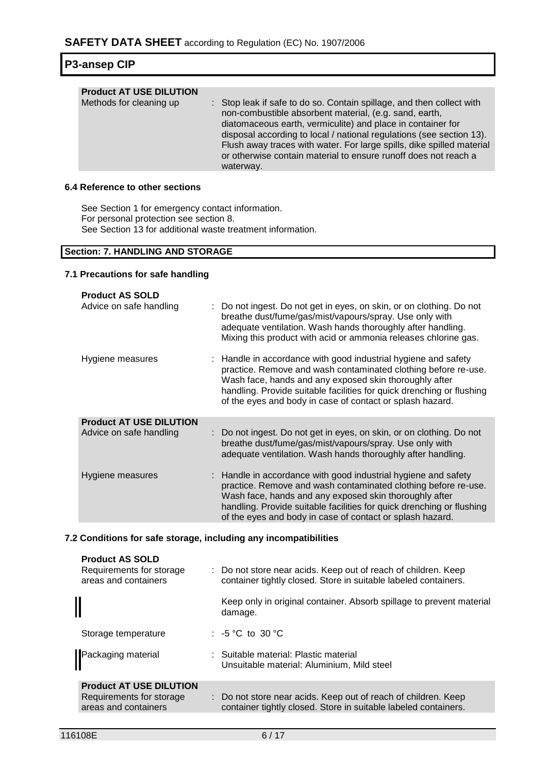| <b>P3-ansep CIP</b> |  |
|---------------------|--|
|---------------------|--|

| or otherwise contain material to ensure runoff does not reach a<br>waterway. | <b>Product AT USE DILUTION</b><br>Methods for cleaning up | : Stop leak if safe to do so. Contain spillage, and then collect with<br>non-combustible absorbent material, (e.g. sand, earth,<br>diatomaceous earth, vermiculite) and place in container for<br>disposal according to local / national regulations (see section 13).<br>Flush away traces with water. For large spills, dike spilled material |
|------------------------------------------------------------------------------|-----------------------------------------------------------|-------------------------------------------------------------------------------------------------------------------------------------------------------------------------------------------------------------------------------------------------------------------------------------------------------------------------------------------------|
|------------------------------------------------------------------------------|-----------------------------------------------------------|-------------------------------------------------------------------------------------------------------------------------------------------------------------------------------------------------------------------------------------------------------------------------------------------------------------------------------------------------|

## **6.4 Reference to other sections**

See Section 1 for emergency contact information. For personal protection see section 8. See Section 13 for additional waste treatment information.

### **Section: 7. HANDLING AND STORAGE**

### **7.1 Precautions for safe handling**

| <b>Product AS SOLD</b><br>Advice on safe handling | : Do not ingest. Do not get in eyes, on skin, or on clothing. Do not<br>breathe dust/fume/gas/mist/vapours/spray. Use only with<br>adequate ventilation. Wash hands thoroughly after handling.<br>Mixing this product with acid or ammonia releases chlorine gas.                                                                |
|---------------------------------------------------|----------------------------------------------------------------------------------------------------------------------------------------------------------------------------------------------------------------------------------------------------------------------------------------------------------------------------------|
| Hygiene measures                                  | : Handle in accordance with good industrial hygiene and safety<br>practice. Remove and wash contaminated clothing before re-use.<br>Wash face, hands and any exposed skin thoroughly after<br>handling. Provide suitable facilities for quick drenching or flushing<br>of the eyes and body in case of contact or splash hazard. |
| <b>Product AT USE DILUTION</b>                    |                                                                                                                                                                                                                                                                                                                                  |
| Advice on safe handling                           | : Do not ingest. Do not get in eyes, on skin, or on clothing. Do not<br>breathe dust/fume/gas/mist/vapours/spray. Use only with<br>adequate ventilation. Wash hands thoroughly after handling.                                                                                                                                   |
| Hygiene measures                                  | : Handle in accordance with good industrial hygiene and safety<br>practice. Remove and wash contaminated clothing before re-use.<br>Wash face, hands and any exposed skin thoroughly after<br>handling. Provide suitable facilities for quick drenching or flushing<br>of the eyes and body in case of contact or splash hazard. |

### **7.2 Conditions for safe storage, including any incompatibilities**

| : Do not store near acids. Keep out of reach of children. Keep<br>container tightly closed. Store in suitable labeled containers. |
|-----------------------------------------------------------------------------------------------------------------------------------|
| Keep only in original container. Absorb spillage to prevent material<br>damage.                                                   |
| : $-5^{\circ}$ C to 30 $^{\circ}$ C                                                                                               |
| : Suitable material: Plastic material<br>Unsuitable material: Aluminium, Mild steel                                               |
| : Do not store near acids. Keep out of reach of children. Keep<br>container tightly closed. Store in suitable labeled containers. |
|                                                                                                                                   |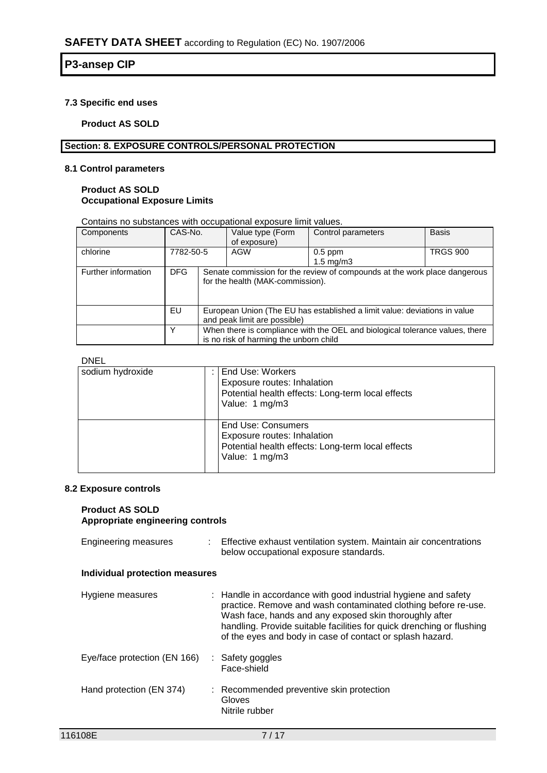### **7.3 Specific end uses**

**Product AS SOLD**

### **Section: 8. EXPOSURE CONTROLS/PERSONAL PROTECTION**

### **8.1 Control parameters**

### **Product AS SOLD Occupational Exposure Limits**

Contains no substances with occupational exposure limit values.

| Components          | CAS-No.    |  | Value type (Form<br>of exposure)                                                                          | Control parameters                                                           | <b>Basis</b>    |
|---------------------|------------|--|-----------------------------------------------------------------------------------------------------------|------------------------------------------------------------------------------|-----------------|
| chlorine            | 7782-50-5  |  | AGW                                                                                                       | $0.5$ ppm<br>$1.5 \text{ mg/m}$                                              | <b>TRGS 900</b> |
| Further information | <b>DFG</b> |  | for the health (MAK-commission).                                                                          | Senate commission for the review of compounds at the work place dangerous    |                 |
|                     | EU         |  | European Union (The EU has established a limit value: deviations in value<br>and peak limit are possible) |                                                                              |                 |
|                     |            |  | is no risk of harming the unborn child                                                                    | When there is compliance with the OEL and biological tolerance values, there |                 |

### DNEL

| sodium hydroxide | End Use: Workers<br>Exposure routes: Inhalation<br>Potential health effects: Long-term local effects<br>Value: 1 mg/m3   |
|------------------|--------------------------------------------------------------------------------------------------------------------------|
|                  | End Use: Consumers<br>Exposure routes: Inhalation<br>Potential health effects: Long-term local effects<br>Value: 1 mg/m3 |

### **8.2 Exposure controls**

#### **Product AS SOLD Appropriate engineering controls**

| <b>Engineering measures</b>    | Effective exhaust ventilation system. Maintain air concentrations<br>below occupational exposure standards.                                                                                                                                                                                                                      |
|--------------------------------|----------------------------------------------------------------------------------------------------------------------------------------------------------------------------------------------------------------------------------------------------------------------------------------------------------------------------------|
| Individual protection measures |                                                                                                                                                                                                                                                                                                                                  |
| Hygiene measures               | : Handle in accordance with good industrial hygiene and safety<br>practice. Remove and wash contaminated clothing before re-use.<br>Wash face, hands and any exposed skin thoroughly after<br>handling. Provide suitable facilities for quick drenching or flushing<br>of the eyes and body in case of contact or splash hazard. |
| Eye/face protection (EN 166)   | : Safety goggles<br>Face-shield                                                                                                                                                                                                                                                                                                  |
| Hand protection (EN 374)       | : Recommended preventive skin protection<br>Gloves<br>Nitrile rubber                                                                                                                                                                                                                                                             |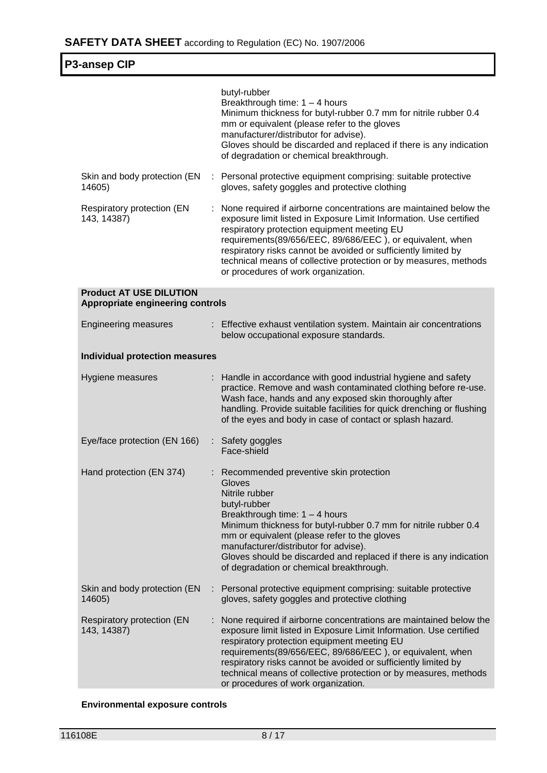| <b>P3-ansep CIP</b>                                                       |  |                                                                                                                                                                                                                                                                                                                                                                                                                                  |
|---------------------------------------------------------------------------|--|----------------------------------------------------------------------------------------------------------------------------------------------------------------------------------------------------------------------------------------------------------------------------------------------------------------------------------------------------------------------------------------------------------------------------------|
|                                                                           |  | butyl-rubber<br>Breakthrough time: $1 - 4$ hours<br>Minimum thickness for butyl-rubber 0.7 mm for nitrile rubber 0.4<br>mm or equivalent (please refer to the gloves<br>manufacturer/distributor for advise).<br>Gloves should be discarded and replaced if there is any indication<br>of degradation or chemical breakthrough.                                                                                                  |
| Skin and body protection (EN<br>14605)                                    |  | : Personal protective equipment comprising: suitable protective<br>gloves, safety goggles and protective clothing                                                                                                                                                                                                                                                                                                                |
| Respiratory protection (EN<br>143, 14387)                                 |  | None required if airborne concentrations are maintained below the<br>exposure limit listed in Exposure Limit Information. Use certified<br>respiratory protection equipment meeting EU<br>requirements(89/656/EEC, 89/686/EEC), or equivalent, when<br>respiratory risks cannot be avoided or sufficiently limited by<br>technical means of collective protection or by measures, methods<br>or procedures of work organization. |
| <b>Product AT USE DILUTION</b><br><b>Appropriate engineering controls</b> |  |                                                                                                                                                                                                                                                                                                                                                                                                                                  |
| <b>Engineering measures</b>                                               |  | : Effective exhaust ventilation system. Maintain air concentrations<br>below occupational exposure standards.                                                                                                                                                                                                                                                                                                                    |
| <b>Individual protection measures</b>                                     |  |                                                                                                                                                                                                                                                                                                                                                                                                                                  |
| Hygiene measures                                                          |  | : Handle in accordance with good industrial hygiene and safety<br>practice. Remove and wash contaminated clothing before re-use.<br>Wash face, hands and any exposed skin thoroughly after<br>handling. Provide suitable facilities for quick drenching or flushing<br>of the eyes and body in case of contact or splash hazard.                                                                                                 |
| Eye/face protection (EN 166)                                              |  | : Safety goggles<br>Face-shield                                                                                                                                                                                                                                                                                                                                                                                                  |
| Hand protection (EN 374)                                                  |  | : Recommended preventive skin protection<br>Gloves<br>Nitrile rubber<br>butyl-rubber<br>Breakthrough time: 1 - 4 hours<br>Minimum thickness for butyl-rubber 0.7 mm for nitrile rubber 0.4<br>mm or equivalent (please refer to the gloves<br>manufacturer/distributor for advise).<br>Gloves should be discarded and replaced if there is any indication<br>of degradation or chemical breakthrough.                            |
| Skin and body protection (EN<br>14605)                                    |  | : Personal protective equipment comprising: suitable protective<br>gloves, safety goggles and protective clothing                                                                                                                                                                                                                                                                                                                |
| Respiratory protection (EN<br>143, 14387)                                 |  | None required if airborne concentrations are maintained below the<br>exposure limit listed in Exposure Limit Information. Use certified<br>respiratory protection equipment meeting EU<br>requirements(89/656/EEC, 89/686/EEC), or equivalent, when<br>respiratory risks cannot be avoided or sufficiently limited by<br>technical means of collective protection or by measures, methods<br>or procedures of work organization. |

## **Environmental exposure controls**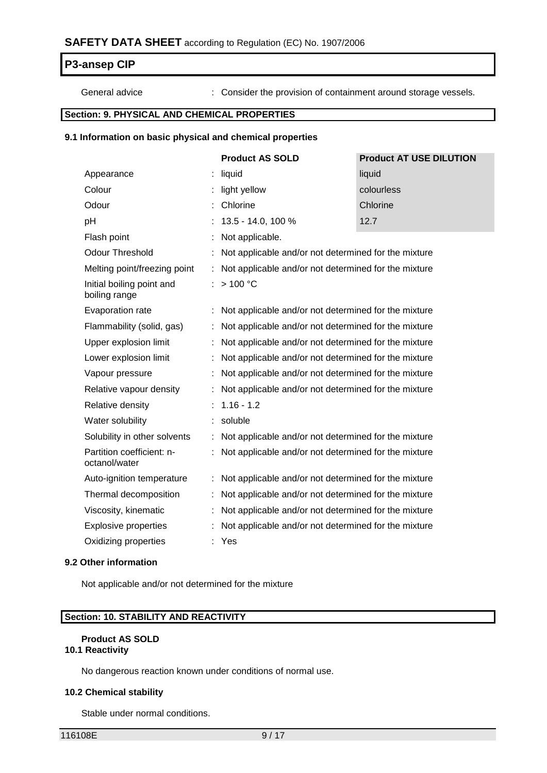General advice : Consider the provision of containment around storage vessels.

## **Section: 9. PHYSICAL AND CHEMICAL PROPERTIES**

### **9.1 Information on basic physical and chemical properties**

|                                            |                      | <b>Product AS SOLD</b>                               | <b>Product AT USE DILUTION</b>                       |  |  |
|--------------------------------------------|----------------------|------------------------------------------------------|------------------------------------------------------|--|--|
| Appearance                                 |                      | liquid                                               | liquid                                               |  |  |
| Colour                                     |                      | light yellow                                         | colourless                                           |  |  |
| Odour                                      |                      | Chlorine                                             | Chlorine                                             |  |  |
| pH                                         |                      | 13.5 - 14.0, 100 %                                   | 12.7                                                 |  |  |
| Flash point                                |                      | Not applicable.                                      |                                                      |  |  |
| <b>Odour Threshold</b>                     |                      | Not applicable and/or not determined for the mixture |                                                      |  |  |
| Melting point/freezing point               | $\ddot{\phantom{a}}$ |                                                      | Not applicable and/or not determined for the mixture |  |  |
| Initial boiling point and<br>boiling range |                      | >100 °C                                              |                                                      |  |  |
| Evaporation rate                           |                      | Not applicable and/or not determined for the mixture |                                                      |  |  |
| Flammability (solid, gas)                  |                      | Not applicable and/or not determined for the mixture |                                                      |  |  |
| Upper explosion limit                      |                      | Not applicable and/or not determined for the mixture |                                                      |  |  |
| Lower explosion limit                      | ÷                    | Not applicable and/or not determined for the mixture |                                                      |  |  |
| Vapour pressure                            |                      | Not applicable and/or not determined for the mixture |                                                      |  |  |
| Relative vapour density                    |                      | Not applicable and/or not determined for the mixture |                                                      |  |  |
| Relative density                           |                      | $1.16 - 1.2$                                         |                                                      |  |  |
| Water solubility                           |                      | soluble                                              |                                                      |  |  |
| Solubility in other solvents               | t                    | Not applicable and/or not determined for the mixture |                                                      |  |  |
| Partition coefficient: n-<br>octanol/water |                      | Not applicable and/or not determined for the mixture |                                                      |  |  |
| Auto-ignition temperature                  |                      | Not applicable and/or not determined for the mixture |                                                      |  |  |
| Thermal decomposition                      |                      | Not applicable and/or not determined for the mixture |                                                      |  |  |
| Viscosity, kinematic                       |                      | Not applicable and/or not determined for the mixture |                                                      |  |  |
| <b>Explosive properties</b>                |                      | Not applicable and/or not determined for the mixture |                                                      |  |  |
| Oxidizing properties                       |                      | Yes                                                  |                                                      |  |  |

### **9.2 Other information**

Not applicable and/or not determined for the mixture

### **Section: 10. STABILITY AND REACTIVITY**

# **Product AS SOLD**

# **10.1 Reactivity**

No dangerous reaction known under conditions of normal use.

### **10.2 Chemical stability**

Stable under normal conditions.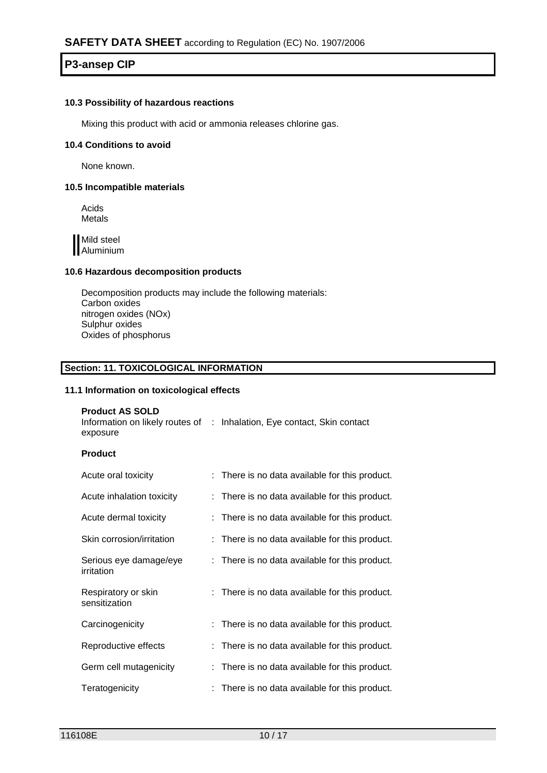### **10.3 Possibility of hazardous reactions**

Mixing this product with acid or ammonia releases chlorine gas.

#### **10.4 Conditions to avoid**

None known.

### **10.5 Incompatible materials**

Acids Metals

Mild steel **Aluminium** 

### **10.6 Hazardous decomposition products**

Decomposition products may include the following materials: Carbon oxides nitrogen oxides (NOx) Sulphur oxides Oxides of phosphorus

### **Section: 11. TOXICOLOGICAL INFORMATION**

### **11.1 Information on toxicological effects**

### **Product AS SOLD**

| Information on likely routes of : Inhalation, Eye contact, Skin contact |  |  |
|-------------------------------------------------------------------------|--|--|
| exposure                                                                |  |  |

#### **Product**

| Acute oral toxicity                  | : There is no data available for this product. |
|--------------------------------------|------------------------------------------------|
| Acute inhalation toxicity            | : There is no data available for this product. |
| Acute dermal toxicity                | There is no data available for this product.   |
| Skin corrosion/irritation            | : There is no data available for this product. |
| Serious eye damage/eye<br>irritation | : There is no data available for this product. |
| Respiratory or skin<br>sensitization | : There is no data available for this product. |
| Carcinogenicity                      | : There is no data available for this product. |
| Reproductive effects                 | : There is no data available for this product. |
| Germ cell mutagenicity               | There is no data available for this product.   |
| Teratogenicity                       | There is no data available for this product.   |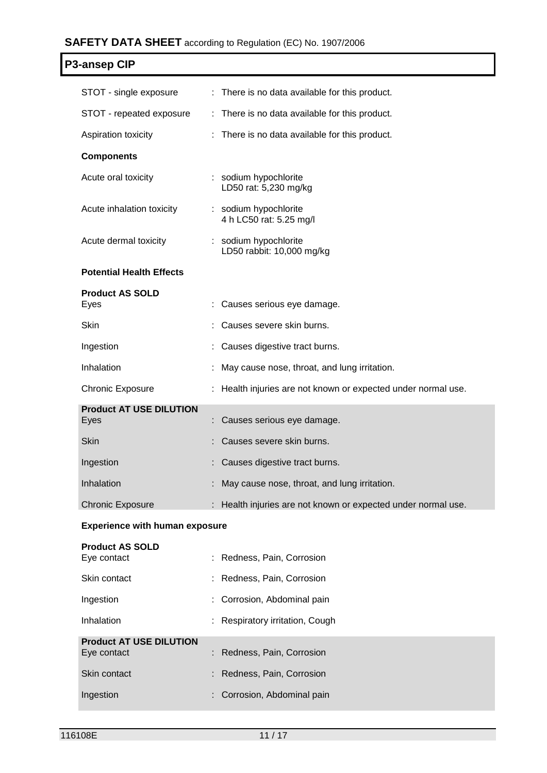# **SAFETY DATA SHEET** according to Regulation (EC) No. 1907/2006

| P3-ansep CIP           |                                                |  |  |  |  |
|------------------------|------------------------------------------------|--|--|--|--|
| STOT - single exposure | : There is no data available for this product. |  |  |  |  |

| STOT - repeated exposure               | : There is no data available for this product.                |
|----------------------------------------|---------------------------------------------------------------|
| Aspiration toxicity                    | : There is no data available for this product.                |
| <b>Components</b>                      |                                                               |
| Acute oral toxicity                    | : sodium hypochlorite<br>LD50 rat: 5,230 mg/kg                |
| Acute inhalation toxicity              | : sodium hypochlorite<br>4 h LC50 rat: 5.25 mg/l              |
| Acute dermal toxicity                  | : sodium hypochlorite<br>LD50 rabbit: 10,000 mg/kg            |
| <b>Potential Health Effects</b>        |                                                               |
| <b>Product AS SOLD</b><br>Eyes         | Causes serious eye damage.                                    |
| Skin                                   | Causes severe skin burns.                                     |
| Ingestion                              | Causes digestive tract burns.                                 |
| Inhalation                             | May cause nose, throat, and lung irritation.                  |
| <b>Chronic Exposure</b>                | : Health injuries are not known or expected under normal use. |
| <b>Product AT USE DILUTION</b><br>Eyes | Causes serious eye damage.                                    |
| <b>Skin</b>                            | Causes severe skin burns.                                     |
| Ingestion                              | Causes digestive tract burns.                                 |
| Inhalation                             | May cause nose, throat, and lung irritation.                  |
| <b>Chronic Exposure</b>                | : Health injuries are not known or expected under normal use. |

### **Experience with human exposure**

| <b>Product AS SOLD</b><br>Eye contact | : Redness, Pain, Corrosion      |
|---------------------------------------|---------------------------------|
| Skin contact                          | : Redness, Pain, Corrosion      |
| Ingestion                             | : Corrosion, Abdominal pain     |
| Inhalation                            | : Respiratory irritation, Cough |
| <b>Product AT USE DILUTION</b>        |                                 |
| Eye contact                           | : Redness, Pain, Corrosion      |
| Skin contact                          | : Redness, Pain, Corrosion      |
| Ingestion                             | : Corrosion, Abdominal pain     |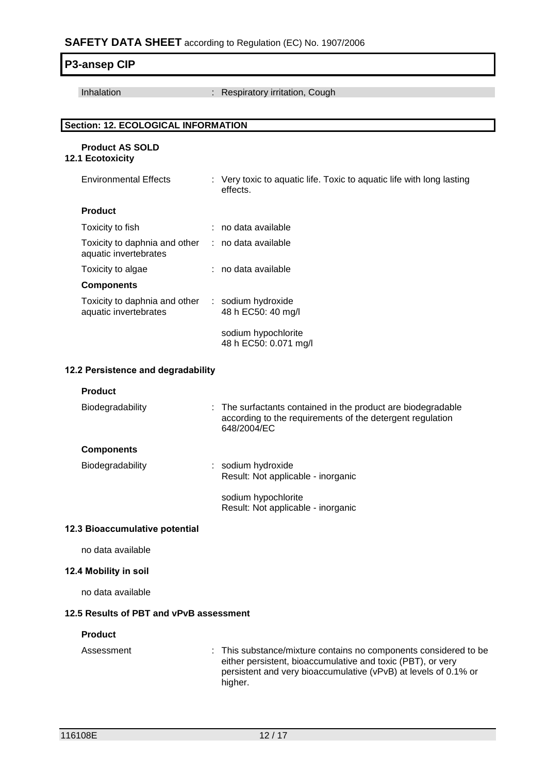| P3-ansep CIP                                           |                                                                                                                                                                                                             |
|--------------------------------------------------------|-------------------------------------------------------------------------------------------------------------------------------------------------------------------------------------------------------------|
| Inhalation                                             | Respiratory irritation, Cough                                                                                                                                                                               |
|                                                        |                                                                                                                                                                                                             |
| <b>Section: 12. ECOLOGICAL INFORMATION</b>             |                                                                                                                                                                                                             |
| <b>Product AS SOLD</b><br>12.1 Ecotoxicity             |                                                                                                                                                                                                             |
| <b>Environmental Effects</b>                           | : Very toxic to aquatic life. Toxic to aquatic life with long lasting<br>effects.                                                                                                                           |
| <b>Product</b>                                         |                                                                                                                                                                                                             |
| Toxicity to fish                                       | : no data available                                                                                                                                                                                         |
| Toxicity to daphnia and other<br>aquatic invertebrates | : no data available                                                                                                                                                                                         |
| Toxicity to algae                                      | : no data available                                                                                                                                                                                         |
| <b>Components</b>                                      |                                                                                                                                                                                                             |
| Toxicity to daphnia and other<br>aquatic invertebrates | : sodium hydroxide<br>48 h EC50: 40 mg/l                                                                                                                                                                    |
|                                                        | sodium hypochlorite<br>48 h EC50: 0.071 mg/l                                                                                                                                                                |
| 12.2 Persistence and degradability                     |                                                                                                                                                                                                             |
| <b>Product</b>                                         |                                                                                                                                                                                                             |
| Biodegradability                                       | The surfactants contained in the product are biodegradable<br>according to the requirements of the detergent regulation<br>648/2004/EC                                                                      |
| <b>Components</b>                                      |                                                                                                                                                                                                             |
| Biodegradability                                       | sodium hydroxide<br>Result: Not applicable - inorganic                                                                                                                                                      |
|                                                        | sodium hypochlorite<br>Result: Not applicable - inorganic                                                                                                                                                   |
| 12.3 Bioaccumulative potential                         |                                                                                                                                                                                                             |
| no data available                                      |                                                                                                                                                                                                             |
| 12.4 Mobility in soil                                  |                                                                                                                                                                                                             |
| no data available                                      |                                                                                                                                                                                                             |
| 12.5 Results of PBT and vPvB assessment                |                                                                                                                                                                                                             |
| <b>Product</b>                                         |                                                                                                                                                                                                             |
| Assessment                                             | This substance/mixture contains no components considered to be<br>either persistent, bioaccumulative and toxic (PBT), or very<br>persistent and very bioaccumulative (vPvB) at levels of 0.1% or<br>higher. |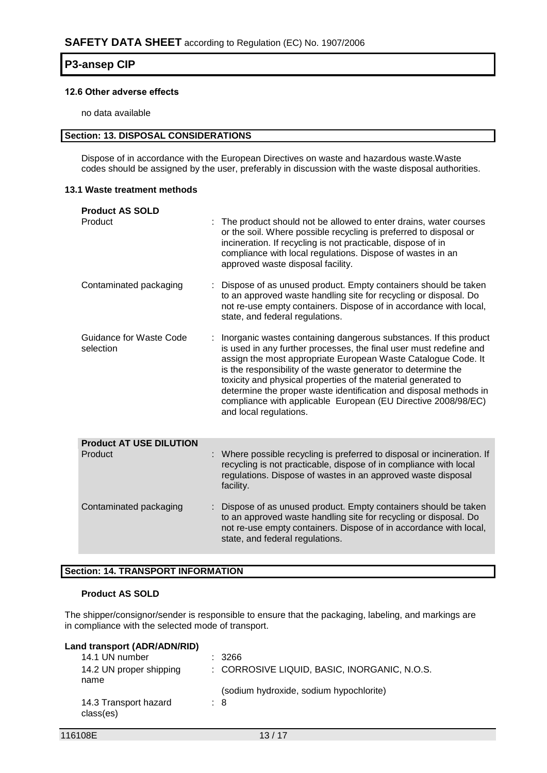### **12.6 Other adverse effects**

no data available

#### **Section: 13. DISPOSAL CONSIDERATIONS**

Dispose of in accordance with the European Directives on waste and hazardous waste.Waste codes should be assigned by the user, preferably in discussion with the waste disposal authorities.

### **13.1 Waste treatment methods**

| <b>Product AS SOLD</b>               |                                                                                                                                                                                                                                                                                                                                                                                                                                                                                                            |
|--------------------------------------|------------------------------------------------------------------------------------------------------------------------------------------------------------------------------------------------------------------------------------------------------------------------------------------------------------------------------------------------------------------------------------------------------------------------------------------------------------------------------------------------------------|
| Product                              | The product should not be allowed to enter drains, water courses<br>or the soil. Where possible recycling is preferred to disposal or<br>incineration. If recycling is not practicable, dispose of in<br>compliance with local regulations. Dispose of wastes in an<br>approved waste disposal facility.                                                                                                                                                                                                   |
| Contaminated packaging               | Dispose of as unused product. Empty containers should be taken<br>to an approved waste handling site for recycling or disposal. Do<br>not re-use empty containers. Dispose of in accordance with local,<br>state, and federal regulations.                                                                                                                                                                                                                                                                 |
| Guidance for Waste Code<br>selection | Inorganic wastes containing dangerous substances. If this product<br>is used in any further processes, the final user must redefine and<br>assign the most appropriate European Waste Catalogue Code. It<br>is the responsibility of the waste generator to determine the<br>toxicity and physical properties of the material generated to<br>determine the proper waste identification and disposal methods in<br>compliance with applicable European (EU Directive 2008/98/EC)<br>and local regulations. |
| <b>Product AT USE DILUTION</b>       |                                                                                                                                                                                                                                                                                                                                                                                                                                                                                                            |
| Product                              | : Where possible recycling is preferred to disposal or incineration. If<br>recycling is not practicable, dispose of in compliance with local<br>regulations. Dispose of wastes in an approved waste disposal<br>facility.                                                                                                                                                                                                                                                                                  |
| Contaminated packaging               | Dispose of as unused product. Empty containers should be taken<br>to an approved waste handling site for recycling or disposal. Do<br>not re-use empty containers. Dispose of in accordance with local,<br>state, and federal regulations.                                                                                                                                                                                                                                                                 |

### **Section: 14. TRANSPORT INFORMATION**

### **Product AS SOLD**

The shipper/consignor/sender is responsible to ensure that the packaging, labeling, and markings are in compliance with the selected mode of transport.

| Land transport (ADR/ADN/RID)       |                                              |
|------------------------------------|----------------------------------------------|
| 14.1 UN number                     | : 3266                                       |
| 14.2 UN proper shipping<br>name    | : CORROSIVE LIQUID, BASIC, INORGANIC, N.O.S. |
|                                    | (sodium hydroxide, sodium hypochlorite)      |
| 14.3 Transport hazard<br>class(es) | : 8                                          |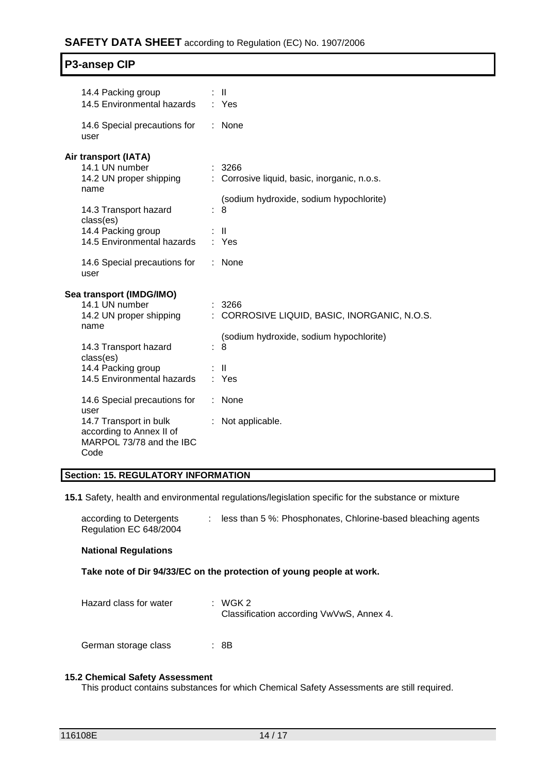## **SAFETY DATA SHEET** according to Regulation (EC) No. 1907/2006

| <b>P3-ansep CIP</b> |  |
|---------------------|--|
|---------------------|--|

| 14.4 Packing group<br>14.5 Environmental hazards                                               | : II<br>: Yes                                          |
|------------------------------------------------------------------------------------------------|--------------------------------------------------------|
| 14.6 Special precautions for<br>user                                                           | None                                                   |
| Air transport (IATA)                                                                           |                                                        |
| 14.1 UN number<br>14.2 UN proper shipping                                                      | : 3266<br>: Corrosive liquid, basic, inorganic, n.o.s. |
| name<br>14.3 Transport hazard                                                                  | (sodium hydroxide, sodium hypochlorite)<br>8           |
| class(es)<br>14.4 Packing group<br>14.5 Environmental hazards                                  | $\mathbf{I}$<br>: Yes                                  |
| 14.6 Special precautions for<br>user                                                           | None                                                   |
| Sea transport (IMDG/IMO)                                                                       |                                                        |
| 14.1 UN number<br>14.2 UN proper shipping<br>name                                              | 3266<br>CORROSIVE LIQUID, BASIC, INORGANIC, N.O.S.     |
| 14.3 Transport hazard                                                                          | (sodium hydroxide, sodium hypochlorite)<br>8           |
| class(es)<br>14.4 Packing group<br>14.5 Environmental hazards                                  | $\mathbf{H}$<br>: Yes                                  |
| 14.6 Special precautions for                                                                   | None                                                   |
| user<br>14.7 Transport in bulk<br>according to Annex II of<br>MARPOL 73/78 and the IBC<br>Code | Not applicable.                                        |

### **Section: 15. REGULATORY INFORMATION**

**15.1** Safety, health and environmental regulations/legislation specific for the substance or mixture

according to Detergents Regulation EC 648/2004 : less than 5 %: Phosphonates, Chlorine-based bleaching agents

### **National Regulations**

### **Take note of Dir 94/33/EC on the protection of young people at work.**

| Hazard class for water | : WGK 2<br>Classification according VwVwS, Annex 4. |
|------------------------|-----------------------------------------------------|
|------------------------|-----------------------------------------------------|

German storage class : 8B

#### **15.2 Chemical Safety Assessment**

This product contains substances for which Chemical Safety Assessments are still required.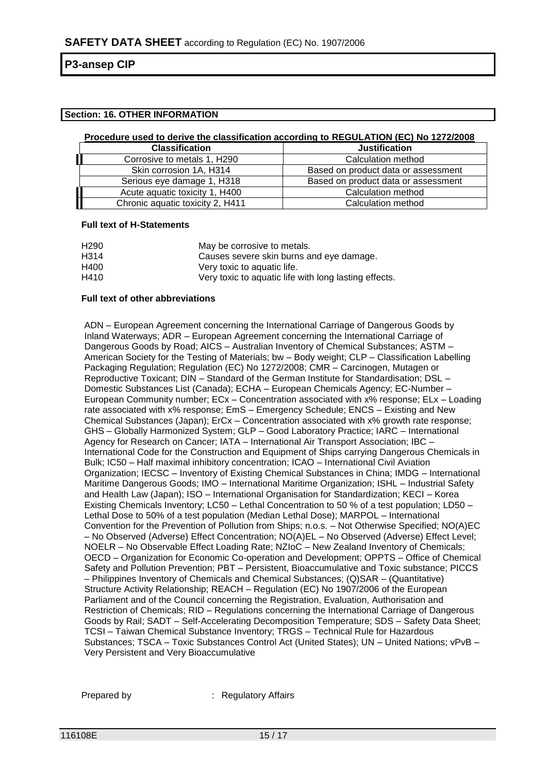### **Section: 16. OTHER INFORMATION**

#### **Procedure used to derive the classification according to REGULATION (EC) No 1272/2008**

| <b>Classification</b>            | <b>Justification</b>                |
|----------------------------------|-------------------------------------|
| Corrosive to metals 1, H290      | Calculation method                  |
| Skin corrosion 1A, H314          | Based on product data or assessment |
| Serious eye damage 1, H318       | Based on product data or assessment |
| Acute aquatic toxicity 1, H400   | Calculation method                  |
| Chronic aquatic toxicity 2, H411 | Calculation method                  |

#### **Full text of H-Statements**

| H <sub>290</sub> | May be corrosive to metals.                           |
|------------------|-------------------------------------------------------|
| H314             | Causes severe skin burns and eye damage.              |
| H400             | Very toxic to aquatic life.                           |
| H410             | Very toxic to aquatic life with long lasting effects. |

#### **Full text of other abbreviations**

ADN – European Agreement concerning the International Carriage of Dangerous Goods by Inland Waterways; ADR – European Agreement concerning the International Carriage of Dangerous Goods by Road; AICS – Australian Inventory of Chemical Substances; ASTM – American Society for the Testing of Materials; bw – Body weight; CLP – Classification Labelling Packaging Regulation; Regulation (EC) No 1272/2008; CMR – Carcinogen, Mutagen or Reproductive Toxicant; DIN – Standard of the German Institute for Standardisation; DSL – Domestic Substances List (Canada); ECHA – European Chemicals Agency; EC-Number – European Community number; ECx – Concentration associated with x% response; ELx – Loading rate associated with x% response; EmS – Emergency Schedule; ENCS – Existing and New Chemical Substances (Japan); ErCx – Concentration associated with x% growth rate response; GHS – Globally Harmonized System; GLP – Good Laboratory Practice; IARC – International Agency for Research on Cancer; IATA – International Air Transport Association; IBC – International Code for the Construction and Equipment of Ships carrying Dangerous Chemicals in Bulk; IC50 – Half maximal inhibitory concentration; ICAO – International Civil Aviation Organization; IECSC – Inventory of Existing Chemical Substances in China; IMDG – International Maritime Dangerous Goods; IMO – International Maritime Organization; ISHL – Industrial Safety and Health Law (Japan); ISO – International Organisation for Standardization; KECI – Korea Existing Chemicals Inventory; LC50 – Lethal Concentration to 50 % of a test population; LD50 – Lethal Dose to 50% of a test population (Median Lethal Dose); MARPOL – International Convention for the Prevention of Pollution from Ships; n.o.s. – Not Otherwise Specified; NO(A)EC – No Observed (Adverse) Effect Concentration; NO(A)EL – No Observed (Adverse) Effect Level; NOELR – No Observable Effect Loading Rate; NZIoC – New Zealand Inventory of Chemicals; OECD – Organization for Economic Co-operation and Development; OPPTS – Office of Chemical Safety and Pollution Prevention; PBT – Persistent, Bioaccumulative and Toxic substance; PICCS – Philippines Inventory of Chemicals and Chemical Substances; (Q)SAR – (Quantitative) Structure Activity Relationship; REACH – Regulation (EC) No 1907/2006 of the European Parliament and of the Council concerning the Registration, Evaluation, Authorisation and Restriction of Chemicals; RID – Regulations concerning the International Carriage of Dangerous Goods by Rail; SADT – Self-Accelerating Decomposition Temperature; SDS – Safety Data Sheet; TCSI – Taiwan Chemical Substance Inventory; TRGS – Technical Rule for Hazardous Substances; TSCA – Toxic Substances Control Act (United States); UN – United Nations; vPvB – Very Persistent and Very Bioaccumulative

Prepared by : Regulatory Affairs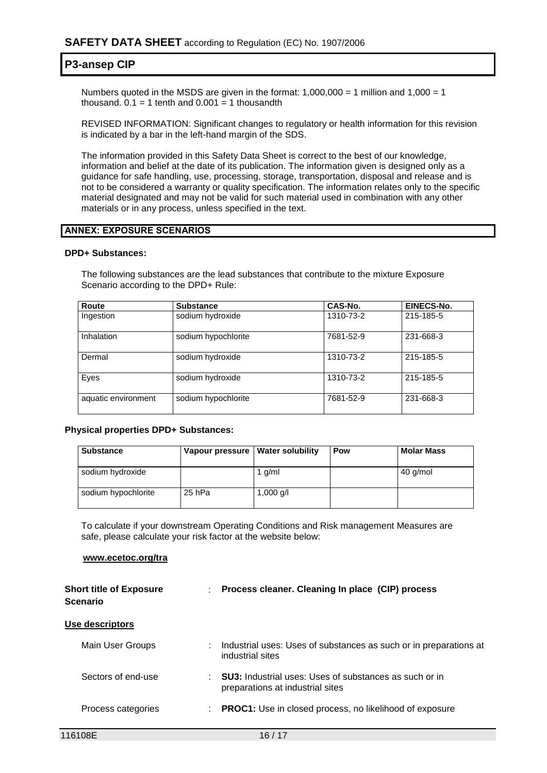Numbers quoted in the MSDS are given in the format:  $1,000,000 = 1$  million and  $1,000 = 1$ thousand.  $0.1 = 1$  tenth and  $0.001 = 1$  thousandth

REVISED INFORMATION: Significant changes to regulatory or health information for this revision is indicated by a bar in the left-hand margin of the SDS.

The information provided in this Safety Data Sheet is correct to the best of our knowledge, information and belief at the date of its publication. The information given is designed only as a guidance for safe handling, use, processing, storage, transportation, disposal and release and is not to be considered a warranty or quality specification. The information relates only to the specific material designated and may not be valid for such material used in combination with any other materials or in any process, unless specified in the text.

#### **ANNEX: EXPOSURE SCENARIOS**

#### **DPD+ Substances:**

The following substances are the lead substances that contribute to the mixture Exposure Scenario according to the DPD+ Rule:

| Route               | <b>Substance</b>    | CAS-No.   | EINECS-No. |
|---------------------|---------------------|-----------|------------|
| Ingestion           | sodium hydroxide    | 1310-73-2 | 215-185-5  |
| Inhalation          | sodium hypochlorite | 7681-52-9 | 231-668-3  |
| Dermal              | sodium hydroxide    | 1310-73-2 | 215-185-5  |
| Eyes                | sodium hydroxide    | 1310-73-2 | 215-185-5  |
| aquatic environment | sodium hypochlorite | 7681-52-9 | 231-668-3  |

#### **Physical properties DPD+ Substances:**

| <b>Substance</b>    | Vapour pressure   Water solubility |           | Pow | <b>Molar Mass</b> |
|---------------------|------------------------------------|-----------|-----|-------------------|
| sodium hydroxide    |                                    | 1 $q/ml$  |     | 40 g/mol          |
| sodium hypochlorite | 25 hPa                             | 1,000 g/l |     |                   |

To calculate if your downstream Operating Conditions and Risk management Measures are safe, please calculate your risk factor at the website below:

#### **www.ecetoc.org/tra**

| <b>Short title of Exposure</b><br><b>Scenario</b> | t. | Process cleaner. Cleaning In place (CIP) process                                                  |
|---------------------------------------------------|----|---------------------------------------------------------------------------------------------------|
| Use descriptors                                   |    |                                                                                                   |
| Main User Groups                                  | ÷. | Industrial uses: Uses of substances as such or in preparations at<br>industrial sites             |
| Sectors of end-use                                |    | <b>SU3:</b> Industrial uses: Uses of substances as such or in<br>preparations at industrial sites |
| Process categories                                | ÷  | <b>PROC1:</b> Use in closed process, no likelihood of exposure                                    |